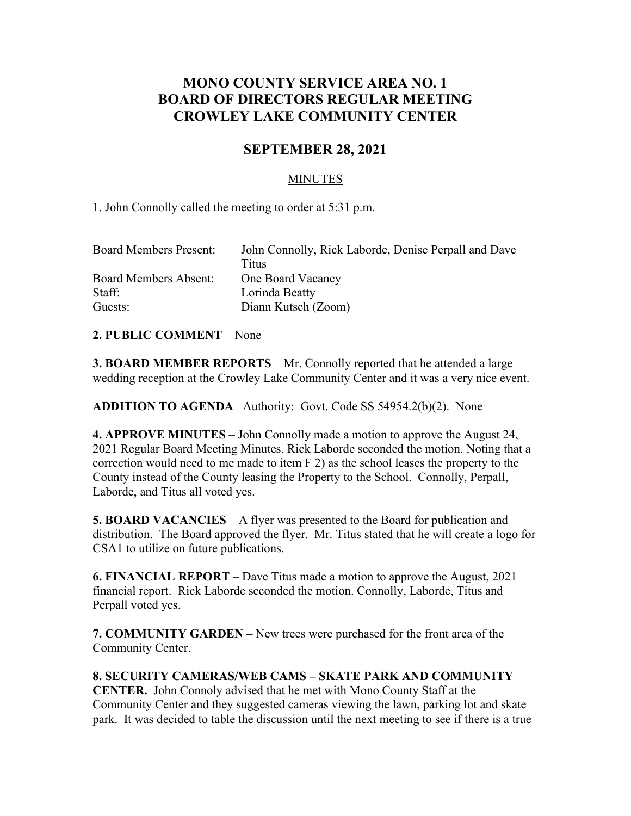# **MONO COUNTY SERVICE AREA NO. 1 BOARD OF DIRECTORS REGULAR MEETING CROWLEY LAKE COMMUNITY CENTER**

## **SEPTEMBER 28, 2021**

### MINUTES

1. John Connolly called the meeting to order at 5:31 p.m.

| John Connolly, Rick Laborde, Denise Perpall and Dave |
|------------------------------------------------------|
| Titus                                                |
| One Board Vacancy                                    |
| Lorinda Beatty                                       |
| Diann Kutsch (Zoom)                                  |
|                                                      |

#### **2. PUBLIC COMMENT** – None

**3. BOARD MEMBER REPORTS** – Mr. Connolly reported that he attended a large wedding reception at the Crowley Lake Community Center and it was a very nice event.

**ADDITION TO AGENDA** –Authority: Govt. Code SS 54954.2(b)(2). None

**4. APPROVE MINUTES** – John Connolly made a motion to approve the August 24, 2021 Regular Board Meeting Minutes. Rick Laborde seconded the motion. Noting that a correction would need to me made to item F 2) as the school leases the property to the County instead of the County leasing the Property to the School. Connolly, Perpall, Laborde, and Titus all voted yes.

**5. BOARD VACANCIES** – A flyer was presented to the Board for publication and distribution. The Board approved the flyer. Mr. Titus stated that he will create a logo for CSA1 to utilize on future publications.

**6. FINANCIAL REPORT** – Dave Titus made a motion to approve the August, 2021 financial report. Rick Laborde seconded the motion. Connolly, Laborde, Titus and Perpall voted yes.

**7. COMMUNITY GARDEN –** New trees were purchased for the front area of the Community Center.

**8. SECURITY CAMERAS/WEB CAMS – SKATE PARK AND COMMUNITY CENTER.** John Connoly advised that he met with Mono County Staff at the Community Center and they suggested cameras viewing the lawn, parking lot and skate park. It was decided to table the discussion until the next meeting to see if there is a true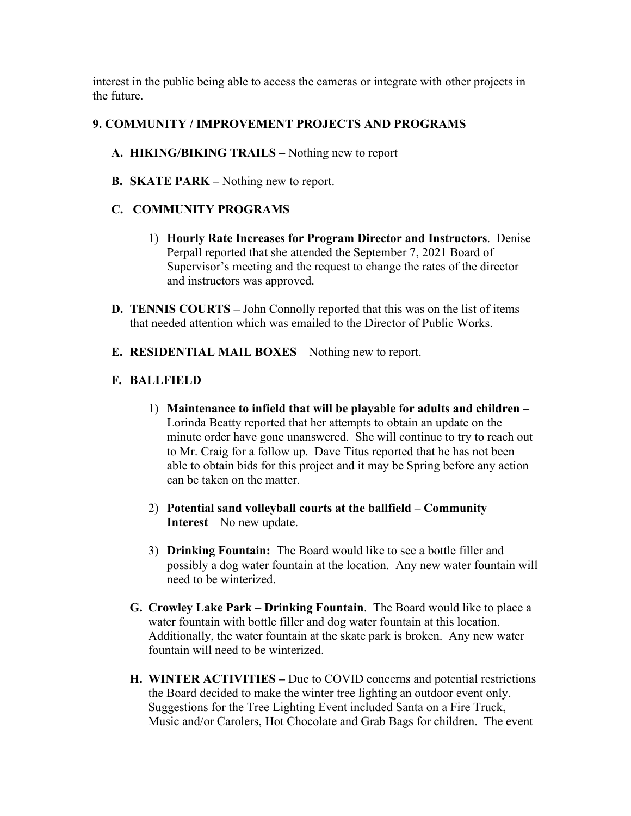interest in the public being able to access the cameras or integrate with other projects in the future.

## **9. COMMUNITY / IMPROVEMENT PROJECTS AND PROGRAMS**

- **A. HIKING/BIKING TRAILS –** Nothing new to report
- **B. SKATE PARK –** Nothing new to report.

## **C. COMMUNITY PROGRAMS**

- 1) **Hourly Rate Increases for Program Director and Instructors**. Denise Perpall reported that she attended the September 7, 2021 Board of Supervisor's meeting and the request to change the rates of the director and instructors was approved.
- **D. TENNIS COURTS –** John Connolly reported that this was on the list of items that needed attention which was emailed to the Director of Public Works.
- **E. RESIDENTIAL MAIL BOXES** Nothing new to report.

## **F. BALLFIELD**

- 1) **Maintenance to infield that will be playable for adults and children –** Lorinda Beatty reported that her attempts to obtain an update on the minute order have gone unanswered. She will continue to try to reach out to Mr. Craig for a follow up. Dave Titus reported that he has not been able to obtain bids for this project and it may be Spring before any action can be taken on the matter.
- 2) **Potential sand volleyball courts at the ballfield – Community Interest** – No new update.
- 3) **Drinking Fountain:** The Board would like to see a bottle filler and possibly a dog water fountain at the location. Any new water fountain will need to be winterized.
- **G. Crowley Lake Park – Drinking Fountain**. The Board would like to place a water fountain with bottle filler and dog water fountain at this location. Additionally, the water fountain at the skate park is broken. Any new water fountain will need to be winterized.
- **H. WINTER ACTIVITIES –** Due to COVID concerns and potential restrictions the Board decided to make the winter tree lighting an outdoor event only. Suggestions for the Tree Lighting Event included Santa on a Fire Truck, Music and/or Carolers, Hot Chocolate and Grab Bags for children. The event